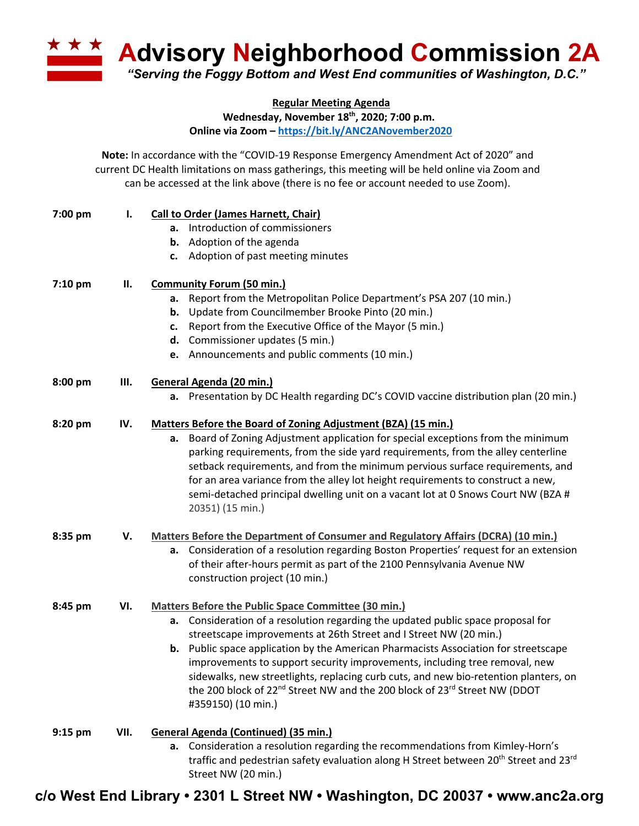**A Advisory Neighborhood Commission 2A** *"Serving the Foggy Bottom and West End communities of Washington, D.C."*

**Regular Meeting Agenda**

**Wednesday, November 18th, 2020; 7:00 p.m. Online via Zoom – https://bit.ly/ANC2ANovember2020**

**Note:** In accordance with the "COVID-19 Response Emergency Amendment Act of 2020" and current DC Health limitations on mass gatherings, this meeting will be held online via Zoom and can be accessed at the link above (there is no fee or account needed to use Zoom).

| 7:00 pm   | Ι.   | <b>Call to Order (James Harnett, Chair)</b>                                                                             |
|-----------|------|-------------------------------------------------------------------------------------------------------------------------|
|           |      | a. Introduction of commissioners                                                                                        |
|           |      | <b>b.</b> Adoption of the agenda                                                                                        |
|           |      | c. Adoption of past meeting minutes                                                                                     |
| $7:10$ pm | П.   | <b>Community Forum (50 min.)</b>                                                                                        |
|           |      | a. Report from the Metropolitan Police Department's PSA 207 (10 min.)                                                   |
|           |      | <b>b.</b> Update from Councilmember Brooke Pinto (20 min.)                                                              |
|           |      | c. Report from the Executive Office of the Mayor (5 min.)                                                               |
|           |      | d. Commissioner updates (5 min.)                                                                                        |
|           |      | e. Announcements and public comments (10 min.)                                                                          |
| 8:00 pm   | Ш.   | General Agenda (20 min.)                                                                                                |
|           |      | a. Presentation by DC Health regarding DC's COVID vaccine distribution plan (20 min.)                                   |
| 8:20 pm   | IV.  | Matters Before the Board of Zoning Adjustment (BZA) (15 min.)                                                           |
|           |      | Board of Zoning Adjustment application for special exceptions from the minimum<br>а.                                    |
|           |      | parking requirements, from the side yard requirements, from the alley centerline                                        |
|           |      | setback requirements, and from the minimum pervious surface requirements, and                                           |
|           |      | for an area variance from the alley lot height requirements to construct a new,                                         |
|           |      | semi-detached principal dwelling unit on a vacant lot at 0 Snows Court NW (BZA #                                        |
|           |      | 20351) (15 min.)                                                                                                        |
| 8:35 pm   | V.   | Matters Before the Department of Consumer and Regulatory Affairs (DCRA) (10 min.)                                       |
|           |      | Consideration of a resolution regarding Boston Properties' request for an extension<br>а.                               |
|           |      | of their after-hours permit as part of the 2100 Pennsylvania Avenue NW                                                  |
|           |      | construction project (10 min.)                                                                                          |
| 8:45 pm   | VI.  | <b>Matters Before the Public Space Committee (30 min.)</b>                                                              |
|           |      | Consideration of a resolution regarding the updated public space proposal for<br>а.                                     |
|           |      | streetscape improvements at 26th Street and I Street NW (20 min.)                                                       |
|           |      | <b>b.</b> Public space application by the American Pharmacists Association for streetscape                              |
|           |      | improvements to support security improvements, including tree removal, new                                              |
|           |      | sidewalks, new streetlights, replacing curb cuts, and new bio-retention planters, on                                    |
|           |      | the 200 block of 22 <sup>nd</sup> Street NW and the 200 block of 23 <sup>rd</sup> Street NW (DDOT<br>#359150) (10 min.) |
| $9:15$ pm | VII. | <b>General Agenda (Continued) (35 min.)</b>                                                                             |
|           |      | a. Consideration a resolution regarding the recommendations from Kimley-Horn's                                          |
|           |      | traffic and pedestrian safety evaluation along H Street between 20 <sup>th</sup> Street and 23 <sup>rd</sup>            |
|           |      | Street NW (20 min.)                                                                                                     |

**c/o West End Library • 2301 L Street NW • Washington, DC 20037 • www.anc2a.org**